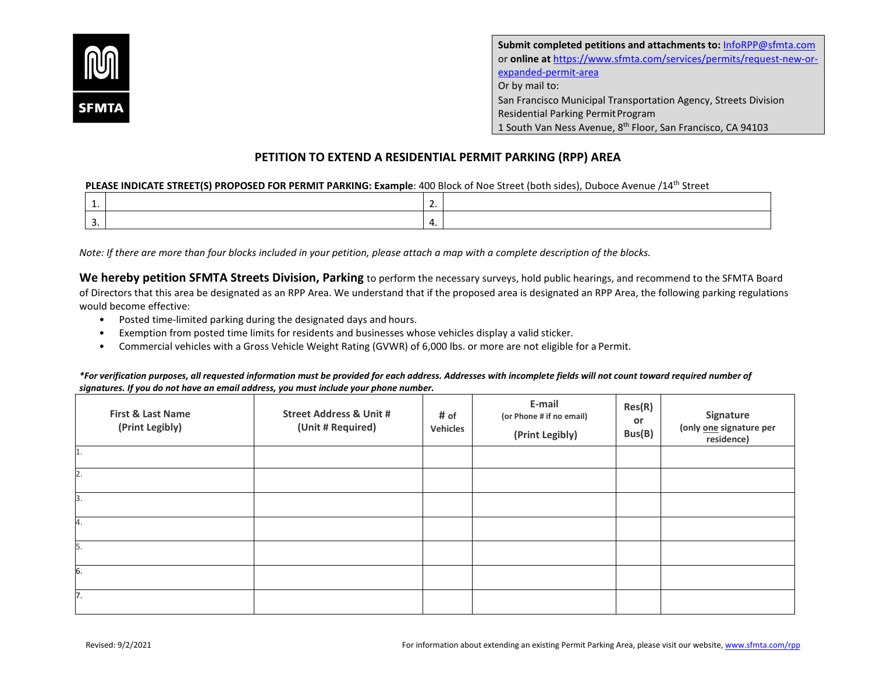

**Submit completed petitions and attachments to:** [InfoRPP@sfmta.com](mailto:InfoRPP@sfmta.com) or **online at** [https://www.sfmta.com/services/permits/request-new-or](https://www.sfmta.com/services/permits/request-new-or-expanded-permit-area)[expanded-permit-area](https://www.sfmta.com/services/permits/request-new-or-expanded-permit-area) Or by mail to: San Francisco Municipal Transportation Agency, Streets Division Residential Parking Permit Program 1 South Van Ness Avenue, 8th Floor, San Francisco, CA 94103

## **PETITION TO EXTEND A RESIDENTIAL PERMIT PARKING (RPP) AREA**

## **PLEASE INDICATE STREET(S) PROPOSED FOR PERMIT PARKING: Example**: 400 Block of Noe Street (both sides), Duboce Avenue /14th Street

| <u>. на с</u> | . . |  |
|---------------|-----|--|
|               |     |  |

*Note: If there are more than four blocks included in your petition, please attach a map with a complete description of the blocks.*

**We hereby petition SFMTA Streets Division, Parking** to perform the necessary surveys, hold public hearings, and recommend to the SFMTA Board of Directors that this area be designated as an RPP Area. We understand that if the proposed area is designated an RPP Area, the following parking regulations would become effective:

- Posted time-limited parking during the designated days and hours.
- Exemption from posted time limits for residents and businesses whose vehicles display a valid sticker.
- Commercial vehicles with a Gross Vehicle Weight Rating (GVWR) of 6,000 lbs. or more are not eligible for a Permit.

*\*For verification purposes, all requested information must be provided for each address. Addresses with incomplete fields will not count toward required number of signatures. If you do not have an email address, you must include your phone number.*

| <b>First &amp; Last Name</b><br>(Print Legibly) | <b>Street Address &amp; Unit #</b><br>(Unit # Required) | # of<br><b>Vehicles</b> | E-mail<br>(or Phone # if no email)<br>(Print Legibly) | Res(R)<br>or<br>Bus(B) | Signature<br>(only one signature per<br>residence) |
|-------------------------------------------------|---------------------------------------------------------|-------------------------|-------------------------------------------------------|------------------------|----------------------------------------------------|
| 1.                                              |                                                         |                         |                                                       |                        |                                                    |
| 2.                                              |                                                         |                         |                                                       |                        |                                                    |
| 3.                                              |                                                         |                         |                                                       |                        |                                                    |
| 4.                                              |                                                         |                         |                                                       |                        |                                                    |
| 5.                                              |                                                         |                         |                                                       |                        |                                                    |
| 6.                                              |                                                         |                         |                                                       |                        |                                                    |
| 7.                                              |                                                         |                         |                                                       |                        |                                                    |